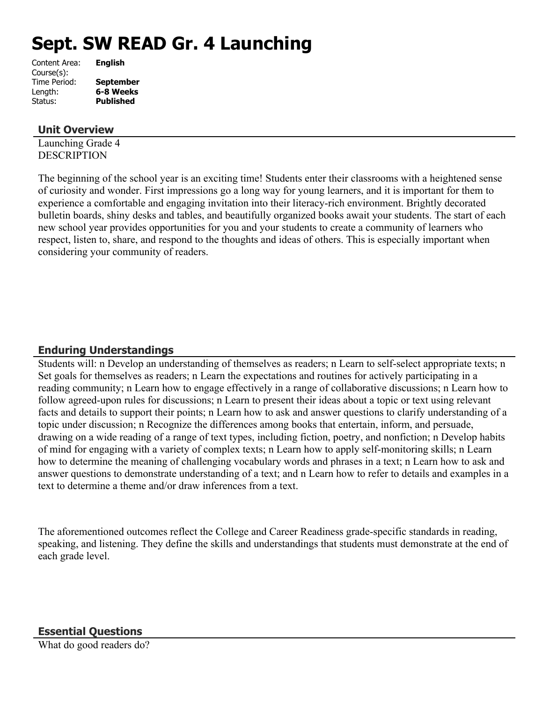# **Sept. SW READ Gr. 4 Launching**

| Content Area: | <b>English</b>   |
|---------------|------------------|
| Course(s):    |                  |
| Time Period:  | <b>September</b> |
| Length:       | 6-8 Weeks        |
| Status:       | <b>Published</b> |
|               |                  |

## **Unit Overview**

Launching Grade 4 **DESCRIPTION** 

The beginning of the school year is an exciting time! Students enter their classrooms with a heightened sense of curiosity and wonder. First impressions go a long way for young learners, and it is important for them to experience a comfortable and engaging invitation into their literacy-rich environment. Brightly decorated bulletin boards, shiny desks and tables, and beautifully organized books await your students. The start of each new school year provides opportunities for you and your students to create a community of learners who respect, listen to, share, and respond to the thoughts and ideas of others. This is especially important when considering your community of readers.

# **Enduring Understandings**

Students will: n Develop an understanding of themselves as readers; n Learn to self-select appropriate texts; n Set goals for themselves as readers; n Learn the expectations and routines for actively participating in a reading community; n Learn how to engage effectively in a range of collaborative discussions; n Learn how to follow agreed-upon rules for discussions; n Learn to present their ideas about a topic or text using relevant facts and details to support their points; n Learn how to ask and answer questions to clarify understanding of a topic under discussion; n Recognize the differences among books that entertain, inform, and persuade, drawing on a wide reading of a range of text types, including fiction, poetry, and nonfiction; n Develop habits of mind for engaging with a variety of complex texts; n Learn how to apply self-monitoring skills; n Learn how to determine the meaning of challenging vocabulary words and phrases in a text; n Learn how to ask and answer questions to demonstrate understanding of a text; and n Learn how to refer to details and examples in a text to determine a theme and/or draw inferences from a text.

The aforementioned outcomes reflect the College and Career Readiness grade-specific standards in reading, speaking, and listening. They define the skills and understandings that students must demonstrate at the end of each grade level.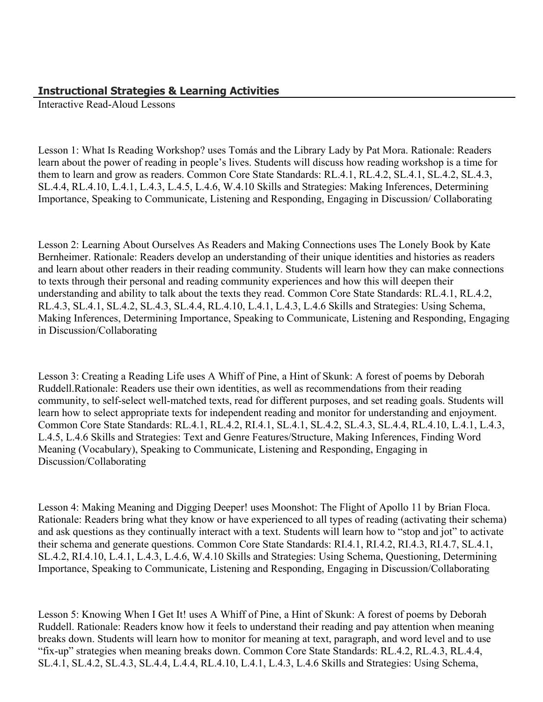## **Instructional Strategies & Learning Activities**

Interactive Read-Aloud Lessons

Lesson 1: What Is Reading Workshop? uses Tomás and the Library Lady by Pat Mora. Rationale: Readers learn about the power of reading in people's lives. Students will discuss how reading workshop is a time for them to learn and grow as readers. Common Core State Standards: RL.4.1, RL.4.2, SL.4.1, SL.4.2, SL.4.3, SL.4.4, RL.4.10, L.4.1, L.4.3, L.4.5, L.4.6, W.4.10 Skills and Strategies: Making Inferences, Determining Importance, Speaking to Communicate, Listening and Responding, Engaging in Discussion/ Collaborating

Lesson 2: Learning About Ourselves As Readers and Making Connections uses The Lonely Book by Kate Bernheimer. Rationale: Readers develop an understanding of their unique identities and histories as readers and learn about other readers in their reading community. Students will learn how they can make connections to texts through their personal and reading community experiences and how this will deepen their understanding and ability to talk about the texts they read. Common Core State Standards: RL.4.1, RL.4.2, RL.4.3, SL.4.1, SL.4.2, SL.4.3, SL.4.4, RL.4.10, L.4.1, L.4.3, L.4.6 Skills and Strategies: Using Schema, Making Inferences, Determining Importance, Speaking to Communicate, Listening and Responding, Engaging in Discussion/Collaborating

Lesson 3: Creating a Reading Life uses A Whiff of Pine, a Hint of Skunk: A forest of poems by Deborah Ruddell.Rationale: Readers use their own identities, as well as recommendations from their reading community, to self-select well-matched texts, read for different purposes, and set reading goals. Students will learn how to select appropriate texts for independent reading and monitor for understanding and enjoyment. Common Core State Standards: RL.4.1, RL.4.2, RI.4.1, SL.4.1, SL.4.2, SL.4.3, SL.4.4, RL.4.10, L.4.1, L.4.3, L.4.5, L.4.6 Skills and Strategies: Text and Genre Features/Structure, Making Inferences, Finding Word Meaning (Vocabulary), Speaking to Communicate, Listening and Responding, Engaging in Discussion/Collaborating

Lesson 4: Making Meaning and Digging Deeper! uses Moonshot: The Flight of Apollo 11 by Brian Floca. Rationale: Readers bring what they know or have experienced to all types of reading (activating their schema) and ask questions as they continually interact with a text. Students will learn how to "stop and jot" to activate their schema and generate questions. Common Core State Standards: RI.4.1, RI.4.2, RI.4.3, RI.4.7, SL.4.1, SL.4.2, RI.4.10, L.4.1, L.4.3, L.4.6, W.4.10 Skills and Strategies: Using Schema, Questioning, Determining Importance, Speaking to Communicate, Listening and Responding, Engaging in Discussion/Collaborating

Lesson 5: Knowing When I Get It! uses A Whiff of Pine, a Hint of Skunk: A forest of poems by Deborah Ruddell. Rationale: Readers know how it feels to understand their reading and pay attention when meaning breaks down. Students will learn how to monitor for meaning at text, paragraph, and word level and to use "fix-up" strategies when meaning breaks down. Common Core State Standards: RL.4.2, RL.4.3, RL.4.4, SL.4.1, SL.4.2, SL.4.3, SL.4.4, L.4.4, RL.4.10, L.4.1, L.4.3, L.4.6 Skills and Strategies: Using Schema,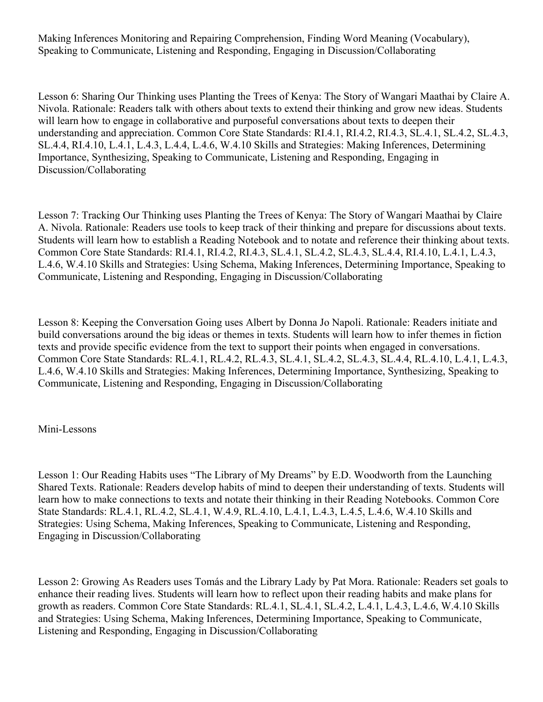Making Inferences Monitoring and Repairing Comprehension, Finding Word Meaning (Vocabulary), Speaking to Communicate, Listening and Responding, Engaging in Discussion/Collaborating

Lesson 6: Sharing Our Thinking uses Planting the Trees of Kenya: The Story of Wangari Maathai by Claire A. Nivola. Rationale: Readers talk with others about texts to extend their thinking and grow new ideas. Students will learn how to engage in collaborative and purposeful conversations about texts to deepen their understanding and appreciation. Common Core State Standards: RI.4.1, RI.4.2, RI.4.3, SL.4.1, SL.4.2, SL.4.3, SL.4.4, RI.4.10, L.4.1, L.4.3, L.4.4, L.4.6, W.4.10 Skills and Strategies: Making Inferences, Determining Importance, Synthesizing, Speaking to Communicate, Listening and Responding, Engaging in Discussion/Collaborating

Lesson 7: Tracking Our Thinking uses Planting the Trees of Kenya: The Story of Wangari Maathai by Claire A. Nivola. Rationale: Readers use tools to keep track of their thinking and prepare for discussions about texts. Students will learn how to establish a Reading Notebook and to notate and reference their thinking about texts. Common Core State Standards: RI.4.1, RI.4.2, RI.4.3, SL.4.1, SL.4.2, SL.4.3, SL.4.4, RI.4.10, L.4.1, L.4.3, L.4.6, W.4.10 Skills and Strategies: Using Schema, Making Inferences, Determining Importance, Speaking to Communicate, Listening and Responding, Engaging in Discussion/Collaborating

Lesson 8: Keeping the Conversation Going uses Albert by Donna Jo Napoli. Rationale: Readers initiate and build conversations around the big ideas or themes in texts. Students will learn how to infer themes in fiction texts and provide specific evidence from the text to support their points when engaged in conversations. Common Core State Standards: RL.4.1, RL.4.2, RL.4.3, SL.4.1, SL.4.2, SL.4.3, SL.4.4, RL.4.10, L.4.1, L.4.3, L.4.6, W.4.10 Skills and Strategies: Making Inferences, Determining Importance, Synthesizing, Speaking to Communicate, Listening and Responding, Engaging in Discussion/Collaborating

#### Mini-Lessons

Lesson 1: Our Reading Habits uses "The Library of My Dreams" by E.D. Woodworth from the Launching Shared Texts. Rationale: Readers develop habits of mind to deepen their understanding of texts. Students will learn how to make connections to texts and notate their thinking in their Reading Notebooks. Common Core State Standards: RL.4.1, RL.4.2, SL.4.1, W.4.9, RL.4.10, L.4.1, L.4.3, L.4.5, L.4.6, W.4.10 Skills and Strategies: Using Schema, Making Inferences, Speaking to Communicate, Listening and Responding, Engaging in Discussion/Collaborating

Lesson 2: Growing As Readers uses Tomás and the Library Lady by Pat Mora. Rationale: Readers set goals to enhance their reading lives. Students will learn how to reflect upon their reading habits and make plans for growth as readers. Common Core State Standards: RL.4.1, SL.4.1, SL.4.2, L.4.1, L.4.3, L.4.6, W.4.10 Skills and Strategies: Using Schema, Making Inferences, Determining Importance, Speaking to Communicate, Listening and Responding, Engaging in Discussion/Collaborating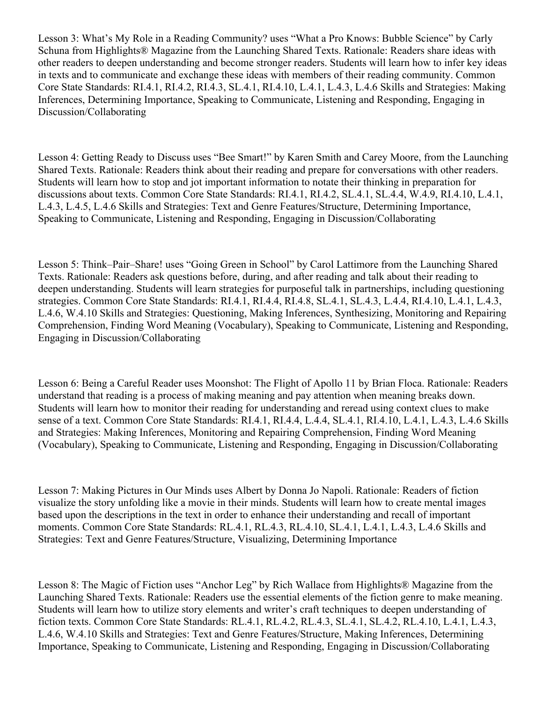Lesson 3: What's My Role in a Reading Community? uses "What a Pro Knows: Bubble Science" by Carly Schuna from Highlights® Magazine from the Launching Shared Texts. Rationale: Readers share ideas with other readers to deepen understanding and become stronger readers. Students will learn how to infer key ideas in texts and to communicate and exchange these ideas with members of their reading community. Common Core State Standards: RI.4.1, RI.4.2, RI.4.3, SL.4.1, RI.4.10, L.4.1, L.4.3, L.4.6 Skills and Strategies: Making Inferences, Determining Importance, Speaking to Communicate, Listening and Responding, Engaging in Discussion/Collaborating

Lesson 4: Getting Ready to Discuss uses "Bee Smart!" by Karen Smith and Carey Moore, from the Launching Shared Texts. Rationale: Readers think about their reading and prepare for conversations with other readers. Students will learn how to stop and jot important information to notate their thinking in preparation for discussions about texts. Common Core State Standards: RI.4.1, RI.4.2, SL.4.1, SL.4.4, W.4.9, RI.4.10, L.4.1, L.4.3, L.4.5, L.4.6 Skills and Strategies: Text and Genre Features/Structure, Determining Importance, Speaking to Communicate, Listening and Responding, Engaging in Discussion/Collaborating

Lesson 5: Think–Pair–Share! uses "Going Green in School" by Carol Lattimore from the Launching Shared Texts. Rationale: Readers ask questions before, during, and after reading and talk about their reading to deepen understanding. Students will learn strategies for purposeful talk in partnerships, including questioning strategies. Common Core State Standards: RI.4.1, RI.4.4, RI.4.8, SL.4.1, SL.4.3, L.4.4, RI.4.10, L.4.1, L.4.3, L.4.6, W.4.10 Skills and Strategies: Questioning, Making Inferences, Synthesizing, Monitoring and Repairing Comprehension, Finding Word Meaning (Vocabulary), Speaking to Communicate, Listening and Responding, Engaging in Discussion/Collaborating

Lesson 6: Being a Careful Reader uses Moonshot: The Flight of Apollo 11 by Brian Floca. Rationale: Readers understand that reading is a process of making meaning and pay attention when meaning breaks down. Students will learn how to monitor their reading for understanding and reread using context clues to make sense of a text. Common Core State Standards: RI.4.1, RI.4.4, L.4.4, SL.4.1, RI.4.10, L.4.1, L.4.3, L.4.6 Skills and Strategies: Making Inferences, Monitoring and Repairing Comprehension, Finding Word Meaning (Vocabulary), Speaking to Communicate, Listening and Responding, Engaging in Discussion/Collaborating

Lesson 7: Making Pictures in Our Minds uses Albert by Donna Jo Napoli. Rationale: Readers of fiction visualize the story unfolding like a movie in their minds. Students will learn how to create mental images based upon the descriptions in the text in order to enhance their understanding and recall of important moments. Common Core State Standards: RL.4.1, RL.4.3, RL.4.10, SL.4.1, L.4.1, L.4.3, L.4.6 Skills and Strategies: Text and Genre Features/Structure, Visualizing, Determining Importance

Lesson 8: The Magic of Fiction uses "Anchor Leg" by Rich Wallace from Highlights® Magazine from the Launching Shared Texts. Rationale: Readers use the essential elements of the fiction genre to make meaning. Students will learn how to utilize story elements and writer's craft techniques to deepen understanding of fiction texts. Common Core State Standards: RL.4.1, RL.4.2, RL.4.3, SL.4.1, SL.4.2, RL.4.10, L.4.1, L.4.3, L.4.6, W.4.10 Skills and Strategies: Text and Genre Features/Structure, Making Inferences, Determining Importance, Speaking to Communicate, Listening and Responding, Engaging in Discussion/Collaborating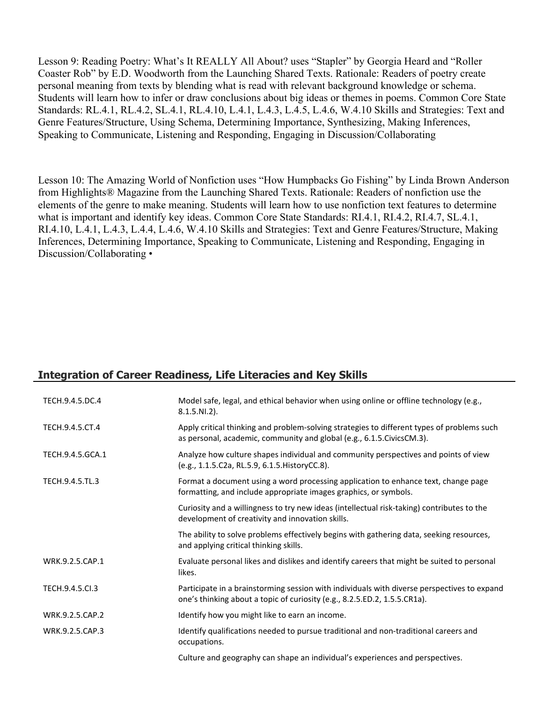Lesson 9: Reading Poetry: What's It REALLY All About? uses "Stapler" by Georgia Heard and "Roller Coaster Rob" by E.D. Woodworth from the Launching Shared Texts. Rationale: Readers of poetry create personal meaning from texts by blending what is read with relevant background knowledge or schema. Students will learn how to infer or draw conclusions about big ideas or themes in poems. Common Core State Standards: RL.4.1, RL.4.2, SL.4.1, RL.4.10, L.4.1, L.4.3, L.4.5, L.4.6, W.4.10 Skills and Strategies: Text and Genre Features/Structure, Using Schema, Determining Importance, Synthesizing, Making Inferences, Speaking to Communicate, Listening and Responding, Engaging in Discussion/Collaborating

Lesson 10: The Amazing World of Nonfiction uses "How Humpbacks Go Fishing" by Linda Brown Anderson from Highlights® Magazine from the Launching Shared Texts. Rationale: Readers of nonfiction use the elements of the genre to make meaning. Students will learn how to use nonfiction text features to determine what is important and identify key ideas. Common Core State Standards: RI.4.1, RI.4.2, RI.4.7, SL.4.1, RI.4.10, L.4.1, L.4.3, L.4.4, L.4.6, W.4.10 Skills and Strategies: Text and Genre Features/Structure, Making Inferences, Determining Importance, Speaking to Communicate, Listening and Responding, Engaging in Discussion/Collaborating •

# **Integration of Career Readiness, Life Literacies and Key Skills**

| TECH.9.4.5.DC.4  | Model safe, legal, and ethical behavior when using online or offline technology (e.g.,<br>$8.1.5.NI.2$ ).                                                                |
|------------------|--------------------------------------------------------------------------------------------------------------------------------------------------------------------------|
| TECH.9.4.5.CT.4  | Apply critical thinking and problem-solving strategies to different types of problems such<br>as personal, academic, community and global (e.g., 6.1.5. Civics CM.3).    |
| TECH.9.4.5.GCA.1 | Analyze how culture shapes individual and community perspectives and points of view<br>(e.g., 1.1.5.C2a, RL.5.9, 6.1.5. HistoryCC.8).                                    |
| TECH.9.4.5.TL.3  | Format a document using a word processing application to enhance text, change page<br>formatting, and include appropriate images graphics, or symbols.                   |
|                  | Curiosity and a willingness to try new ideas (intellectual risk-taking) contributes to the<br>development of creativity and innovation skills.                           |
|                  | The ability to solve problems effectively begins with gathering data, seeking resources,<br>and applying critical thinking skills.                                       |
| WRK.9.2.5.CAP.1  | Evaluate personal likes and dislikes and identify careers that might be suited to personal<br>likes.                                                                     |
| TECH.9.4.5.Cl.3  | Participate in a brainstorming session with individuals with diverse perspectives to expand<br>one's thinking about a topic of curiosity (e.g., 8.2.5.ED.2, 1.5.5.CR1a). |
| WRK.9.2.5.CAP.2  | Identify how you might like to earn an income.                                                                                                                           |
| WRK.9.2.5.CAP.3  | Identify qualifications needed to pursue traditional and non-traditional careers and<br>occupations.                                                                     |
|                  | Culture and geography can shape an individual's experiences and perspectives.                                                                                            |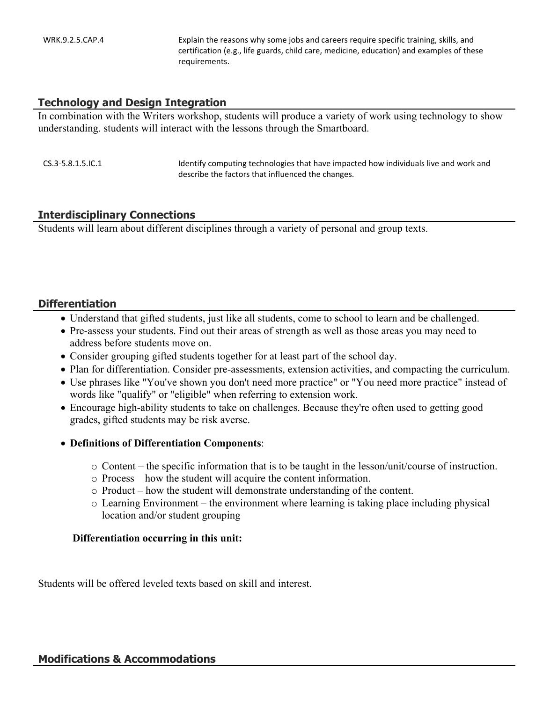WRK.9.2.5.CAP.4 Explain the reasons why some jobs and careers require specific training, skills, and certification (e.g., life guards, child care, medicine, education) and examples of these requirements.

#### **Technology and Design Integration**

In combination with the Writers workshop, students will produce a variety of work using technology to show understanding. students will interact with the lessons through the Smartboard.

| $CS.3 - 5.8.1.5$ . IC. 1 | Identify computing technologies that have impacted how individuals live and work and |
|--------------------------|--------------------------------------------------------------------------------------|
|                          | describe the factors that influenced the changes.                                    |

#### **Interdisciplinary Connections**

Students will learn about different disciplines through a variety of personal and group texts.

#### **Differentiation**

- Understand that gifted students, just like all students, come to school to learn and be challenged.
- Pre-assess your students. Find out their areas of strength as well as those areas you may need to address before students move on.
- Consider grouping gifted students together for at least part of the school day.
- Plan for differentiation. Consider pre-assessments, extension activities, and compacting the curriculum.
- Use phrases like "You've shown you don't need more practice" or "You need more practice" instead of words like "qualify" or "eligible" when referring to extension work.
- Encourage high-ability students to take on challenges. Because they're often used to getting good grades, gifted students may be risk averse.

#### **Definitions of Differentiation Components**:

- o Content the specific information that is to be taught in the lesson/unit/course of instruction.
- o Process how the student will acquire the content information.
- o Product how the student will demonstrate understanding of the content.
- o Learning Environment the environment where learning is taking place including physical location and/or student grouping

#### **Differentiation occurring in this unit:**

Students will be offered leveled texts based on skill and interest.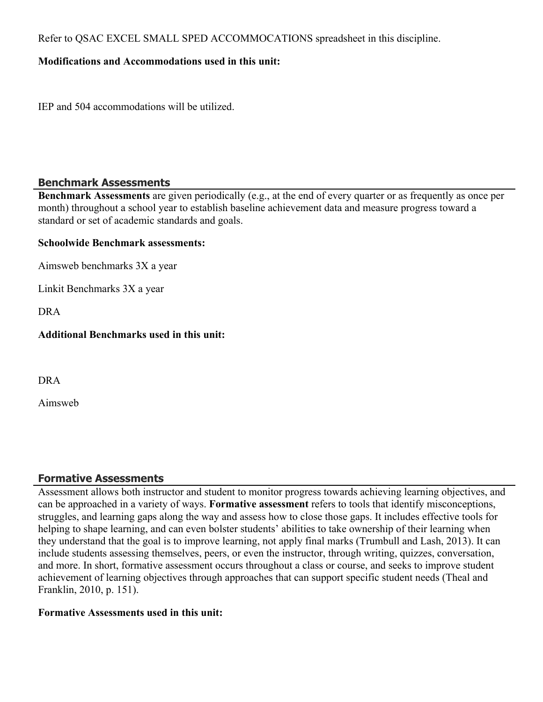Refer to QSAC EXCEL SMALL SPED ACCOMMOCATIONS spreadsheet in this discipline.

## **Modifications and Accommodations used in this unit:**

IEP and 504 accommodations will be utilized.

#### **Benchmark Assessments**

**Benchmark Assessments** are given periodically (e.g., at the end of every quarter or as frequently as once per month) throughout a school year to establish baseline achievement data and measure progress toward a standard or set of academic standards and goals.

#### **Schoolwide Benchmark assessments:**

Aimsweb benchmarks 3X a year

Linkit Benchmarks 3X a year

DRA

## **Additional Benchmarks used in this unit:**

DRA

Aimsweb

# **Formative Assessments**

Assessment allows both instructor and student to monitor progress towards achieving learning objectives, and can be approached in a variety of ways. **Formative assessment** refers to tools that identify misconceptions, struggles, and learning gaps along the way and assess how to close those gaps. It includes effective tools for helping to shape learning, and can even bolster students' abilities to take ownership of their learning when they understand that the goal is to improve learning, not apply final marks (Trumbull and Lash, 2013). It can include students assessing themselves, peers, or even the instructor, through writing, quizzes, conversation, and more. In short, formative assessment occurs throughout a class or course, and seeks to improve student achievement of learning objectives through approaches that can support specific student needs (Theal and Franklin, 2010, p. 151).

#### **Formative Assessments used in this unit:**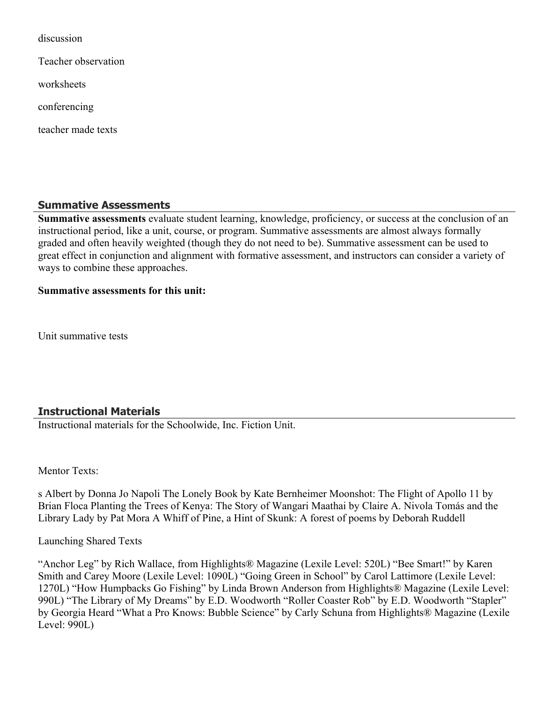discussion

Teacher observation

worksheets

conferencing

teacher made texts

#### **Summative Assessments**

**Summative assessments** evaluate student learning, knowledge, proficiency, or success at the conclusion of an instructional period, like a unit, course, or program. Summative assessments are almost always formally graded and often heavily weighted (though they do not need to be). Summative assessment can be used to great effect in conjunction and alignment with formative assessment, and instructors can consider a variety of ways to combine these approaches.

#### **Summative assessments for this unit:**

Unit summative tests

#### **Instructional Materials**

Instructional materials for the Schoolwide, Inc. Fiction Unit.

Mentor Texts<sup>-</sup>

s Albert by Donna Jo Napoli The Lonely Book by Kate Bernheimer Moonshot: The Flight of Apollo 11 by Brian Floca Planting the Trees of Kenya: The Story of Wangari Maathai by Claire A. Nivola Tomás and the Library Lady by Pat Mora A Whiff of Pine, a Hint of Skunk: A forest of poems by Deborah Ruddell

Launching Shared Texts

"Anchor Leg" by Rich Wallace, from Highlights® Magazine (Lexile Level: 520L) "Bee Smart!" by Karen Smith and Carey Moore (Lexile Level: 1090L) "Going Green in School" by Carol Lattimore (Lexile Level: 1270L) "How Humpbacks Go Fishing" by Linda Brown Anderson from Highlights® Magazine (Lexile Level: 990L) "The Library of My Dreams" by E.D. Woodworth "Roller Coaster Rob" by E.D. Woodworth "Stapler" by Georgia Heard "What a Pro Knows: Bubble Science" by Carly Schuna from Highlights® Magazine (Lexile Level: 990L)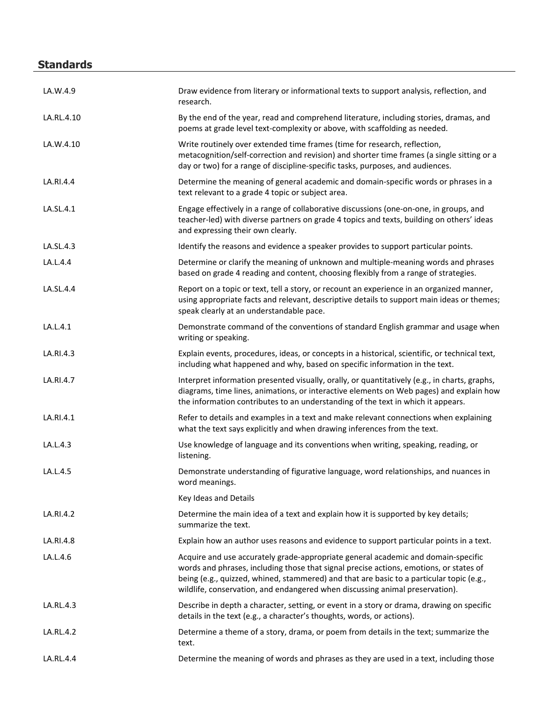# **Standards**

| LA.W.4.9   | Draw evidence from literary or informational texts to support analysis, reflection, and<br>research.                                                                                                                                                                                                                                                    |
|------------|---------------------------------------------------------------------------------------------------------------------------------------------------------------------------------------------------------------------------------------------------------------------------------------------------------------------------------------------------------|
| LA.RL.4.10 | By the end of the year, read and comprehend literature, including stories, dramas, and<br>poems at grade level text-complexity or above, with scaffolding as needed.                                                                                                                                                                                    |
| LA.W.4.10  | Write routinely over extended time frames (time for research, reflection,<br>metacognition/self-correction and revision) and shorter time frames (a single sitting or a<br>day or two) for a range of discipline-specific tasks, purposes, and audiences.                                                                                               |
| LA.RI.4.4  | Determine the meaning of general academic and domain-specific words or phrases in a<br>text relevant to a grade 4 topic or subject area.                                                                                                                                                                                                                |
| LA.SL.4.1  | Engage effectively in a range of collaborative discussions (one-on-one, in groups, and<br>teacher-led) with diverse partners on grade 4 topics and texts, building on others' ideas<br>and expressing their own clearly.                                                                                                                                |
| LA.SL.4.3  | Identify the reasons and evidence a speaker provides to support particular points.                                                                                                                                                                                                                                                                      |
| LA.L.4.4   | Determine or clarify the meaning of unknown and multiple-meaning words and phrases<br>based on grade 4 reading and content, choosing flexibly from a range of strategies.                                                                                                                                                                               |
| LA.SL.4.4  | Report on a topic or text, tell a story, or recount an experience in an organized manner,<br>using appropriate facts and relevant, descriptive details to support main ideas or themes;<br>speak clearly at an understandable pace.                                                                                                                     |
| LA.L.4.1   | Demonstrate command of the conventions of standard English grammar and usage when<br>writing or speaking.                                                                                                                                                                                                                                               |
| LA.RI.4.3  | Explain events, procedures, ideas, or concepts in a historical, scientific, or technical text,<br>including what happened and why, based on specific information in the text.                                                                                                                                                                           |
| LA.RI.4.7  | Interpret information presented visually, orally, or quantitatively (e.g., in charts, graphs,<br>diagrams, time lines, animations, or interactive elements on Web pages) and explain how<br>the information contributes to an understanding of the text in which it appears.                                                                            |
| LA.RI.4.1  | Refer to details and examples in a text and make relevant connections when explaining<br>what the text says explicitly and when drawing inferences from the text.                                                                                                                                                                                       |
| LA.L.4.3   | Use knowledge of language and its conventions when writing, speaking, reading, or<br>listening.                                                                                                                                                                                                                                                         |
| LA.L.4.5   | Demonstrate understanding of figurative language, word relationships, and nuances in<br>word meanings.                                                                                                                                                                                                                                                  |
|            | Key Ideas and Details                                                                                                                                                                                                                                                                                                                                   |
| LA.RI.4.2  | Determine the main idea of a text and explain how it is supported by key details;<br>summarize the text.                                                                                                                                                                                                                                                |
| LA.RI.4.8  | Explain how an author uses reasons and evidence to support particular points in a text.                                                                                                                                                                                                                                                                 |
| LA.L.4.6   | Acquire and use accurately grade-appropriate general academic and domain-specific<br>words and phrases, including those that signal precise actions, emotions, or states of<br>being (e.g., quizzed, whined, stammered) and that are basic to a particular topic (e.g.,<br>wildlife, conservation, and endangered when discussing animal preservation). |
| LA.RL.4.3  | Describe in depth a character, setting, or event in a story or drama, drawing on specific<br>details in the text (e.g., a character's thoughts, words, or actions).                                                                                                                                                                                     |
| LA.RL.4.2  | Determine a theme of a story, drama, or poem from details in the text; summarize the<br>text.                                                                                                                                                                                                                                                           |
| LA.RL.4.4  | Determine the meaning of words and phrases as they are used in a text, including those                                                                                                                                                                                                                                                                  |